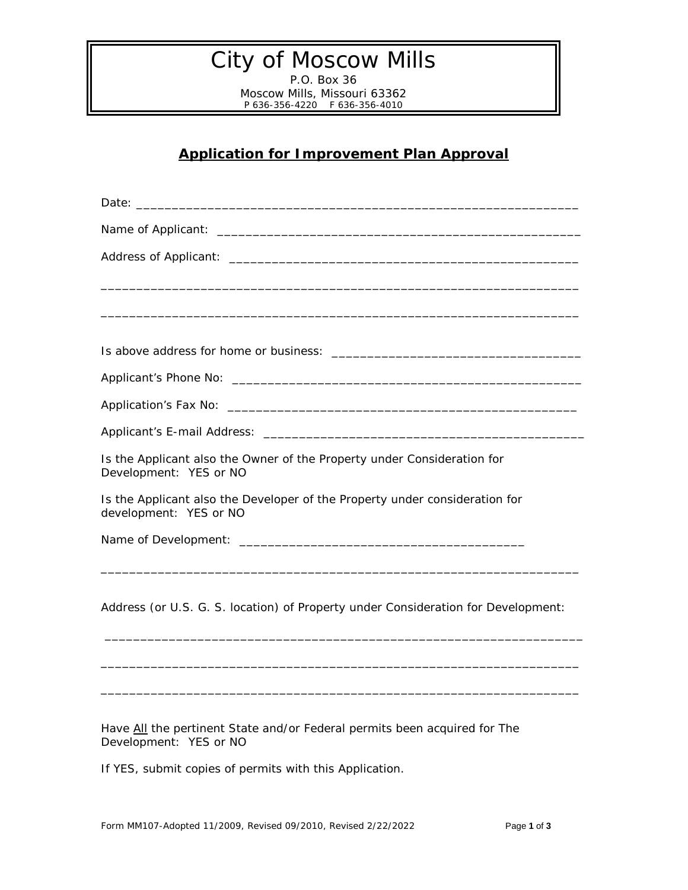## City of Moscow Mills

P.O. Box 36 Moscow Mills, Missouri 63362 P 636-356-4220 F 636-356-4010

## **Application for Improvement Plan Approval**

| Is the Applicant also the Owner of the Property under Consideration for<br>Development: YES or NO     |
|-------------------------------------------------------------------------------------------------------|
| Is the Applicant also the Developer of the Property under consideration for<br>development: YES or NO |
|                                                                                                       |
|                                                                                                       |
| Address (or U.S. G. S. location) of Property under Consideration for Development:                     |
|                                                                                                       |
|                                                                                                       |
|                                                                                                       |

Have All the pertinent State and/or Federal permits been acquired for The Development: YES or NO

If YES, submit copies of permits with this Application.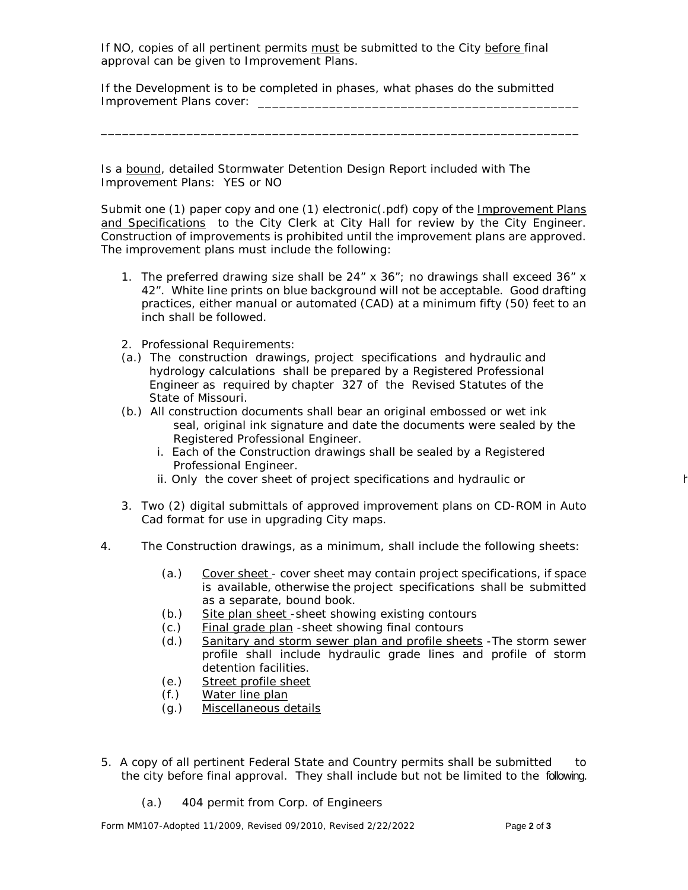If NO, copies of all pertinent permits must be submitted to the City before final approval can be given to Improvement Plans.

If the Development is to be completed in phases, what phases do the submitted Improvement Plans cover:

\_\_\_\_\_\_\_\_\_\_\_\_\_\_\_\_\_\_\_\_\_\_\_\_\_\_\_\_\_\_\_\_\_\_\_\_\_\_\_\_\_\_\_\_\_\_\_\_\_\_\_\_\_\_\_\_\_\_\_\_\_\_\_\_\_\_\_

Is a bound, detailed Stormwater Detention Design Report included with The Improvement Plans: YES or NO

Submit one (1) paper copy and one (1) electronic(.pdf) copy of the Improvement Plans and Specifications to the City Clerk at City Hall for review by the City Engineer. Construction of improvements is prohibited until the improvement plans are approved. The improvement plans must include the following:

- 1. The preferred drawing size shall be  $24'' \times 36''$ ; no drawings shall exceed  $36'' \times$ 42". White line prints on blue background will not be acceptable. Good drafting practices, either manual or automated (CAD) at a minimum fifty (50) feet to an inch shall be followed.
- 2. Professional Requirements:
- (a.) The construction drawings, project specifications and hydraulic and hydrology calculations shall be prepared by a Registered Professional Engineer as required by chapter 327 of the Revised Statutes of the State of Missouri.
- (b.) All construction documents shall bear an original embossed or wet ink seal, original ink signature and date the documents were sealed by the Registered Professional Engineer.
	- i. Each of the Construction drawings shall be sealed by a Registered Professional Engineer.
	- ii. Only the cover sheet of project specifications and hydraulic or
- 3. Two (2) digital submittals of approved improvement plans on CD-ROM in Auto Cad format for use in upgrading City maps.
- 4. The Construction drawings, as a minimum, shall include the following sheets:
	- (a.) Cover sheet cover sheet may contain project specifications, if space is available, otherwise the project specifications shall be submitted as a separate, bound book.
	- (b.) Site plan sheet -sheet showing existing contours
	- (c.) Final grade plan -sheet showing final contours
	- (d.) Sanitary and storm sewer plan and profile sheets -The storm sewer profile shall include hydraulic grade lines and profile of storm detention facilities.
	- (e.) Street profile sheet
	- (f.) Water line plan
	- (g.) Miscellaneous details
- 5. A copy of all pertinent Federal State and Country permits shall be submitted to the city before final approval. They shall include but not be limited to the following.
	- (a.) 404 permit from Corp. of Engineers